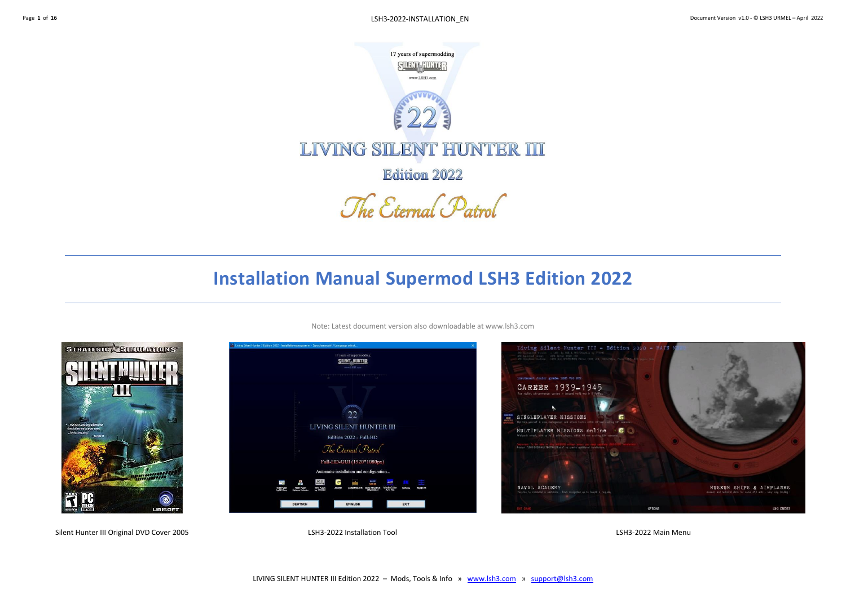

# **Installation Manual Supermod LSH3 Edition 2022**



Note: Latest document version also downloadable at www.lsh3.com



Silent Hunter III Original DVD Cover 2005 **LSH3-2022** Metallation Tool LSH3-2022 Installation Tool LSH3-2022 Main Menu

ENGLISH

DELITER

**SILENT\_HUNTER** 

 $22$ 

LIVING SILENT HUNTER III

Edition 2022 - Full-HD The Eternal Patrol Full-HD-GUI (1920\*1080px)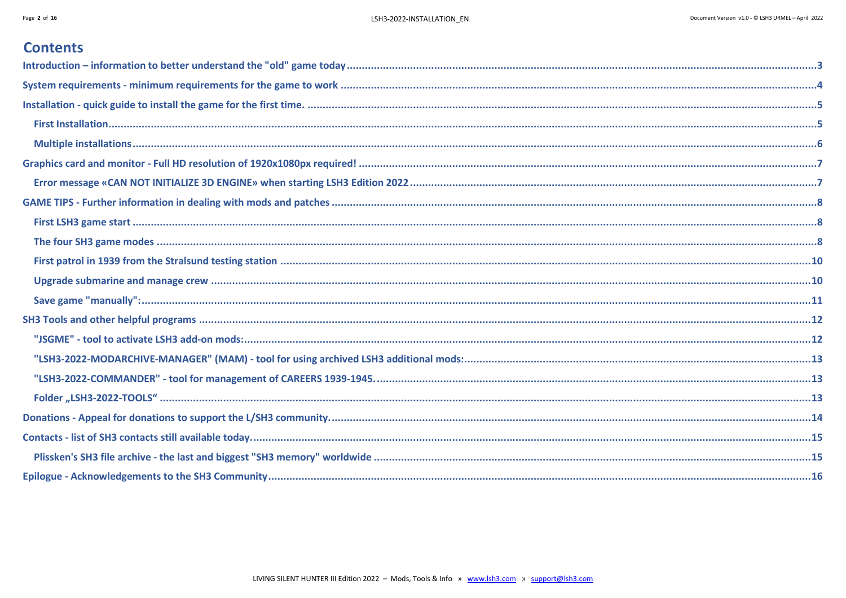## **Contents**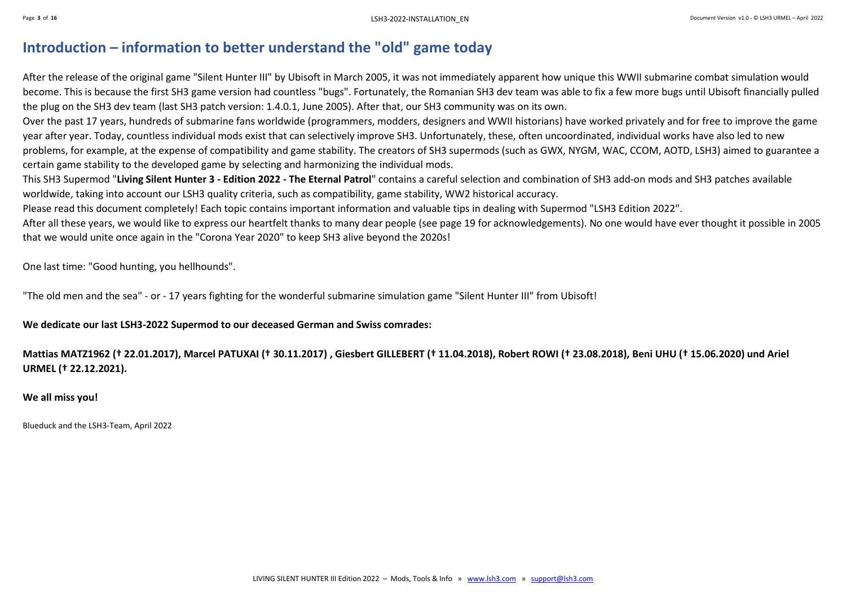## <span id="page-2-0"></span>**Introduction – information to better understand the "old" game today**

After the release of the original game "Silent Hunter III" by Ubisoft in March 2005, it was not immediately apparent how unique this WWII submarine combat simulation would become. This is because the first SH3 game version had countless "bugs". Fortunately, the Romanian SH3 dev team was able to fix a few more bugs until Ubisoft financially pulled the plug on the SH3 dev team (last SH3 patch version: 1.4.0.1, June 2005). After that, our SH3 community was on its own.

Over the past 17 years, hundreds of submarine fans worldwide (programmers, modders, designers and WWII historians) have worked privately and for free to improve the game year after year. Today, countless individual mods exist that can selectively improve SH3. Unfortunately, these, often uncoordinated, individual works have also led to new problems, for example, at the expense of compatibility and game stability. The creators of SH3 supermods (such as GWX, NYGM, WAC, CCOM, AOTD, LSH3) aimed to guarantee a certain game stability to the developed game by selecting and harmonizing the individual mods.

This SH3 Supermod "**Living Silent Hunter 3 - Edition 2022 - The Eternal Patrol**" contains a careful selection and combination of SH3 add-on mods and SH3 patches available worldwide, taking into account our LSH3 quality criteria, such as compatibility, game stability, WW2 historical accuracy.

Please read this document completely! Each topic contains important information and valuable tips in dealing with Supermod "LSH3 Edition 2022".

After all these years, we would like to express our heartfelt thanks to many dear people (see page 19 for acknowledgements). No one would have ever thought it possible in 2005 that we would unite once again in the "Corona Year 2020" to keep SH3 alive beyond the 2020s!

One last time: "Good hunting, you hellhounds".

"The old men and the sea" - or - 17 years fighting for the wonderful submarine simulation game "Silent Hunter III" from Ubisoft!

**We dedicate our last LSH3-2022 Supermod to our deceased German and Swiss comrades:**

Mattias MATZ1962 († 22.01.2017), Marcel PATUXAI († 30.11.2017), Giesbert GILLEBERT († 11.04.2018), Robert ROWI († 23.08.2018), Beni UHU († 15.06.2020) und Ariel **URMEL († 22.12.2021).**

#### **We all miss you!**

Blueduck and the LSH3-Team, April 2022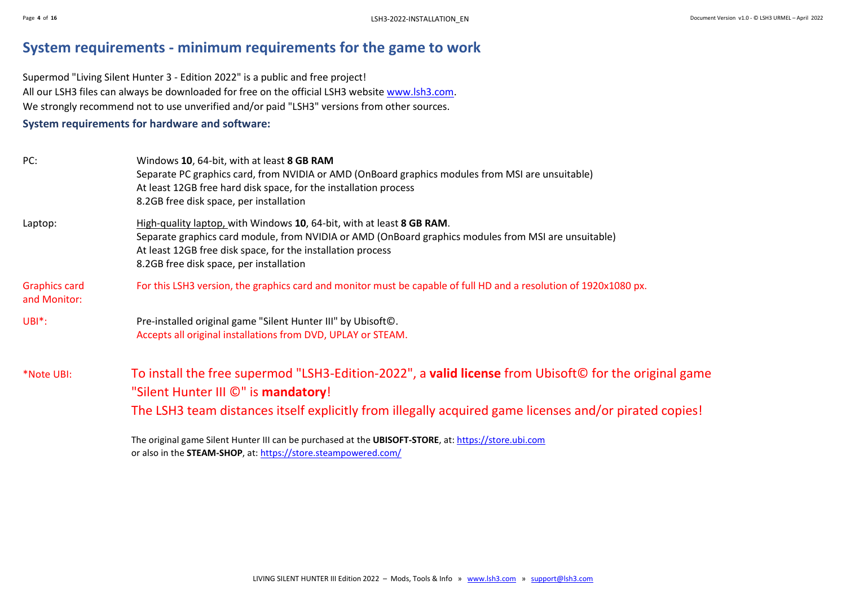## <span id="page-3-0"></span>**System requirements - minimum requirements for the game to work**

Supermod "Living Silent Hunter 3 - Edition 2022" is a public and free project! All our LSH3 files can always be downloaded for free on the official LSH3 website [www.lsh3.com.](http://www.lsh3.com/) We strongly recommend not to use unverified and/or paid "LSH3" versions from other sources.

#### **System requirements for hardware and software:**

| PC:                                  | Windows 10, 64-bit, with at least 8 GB RAM<br>Separate PC graphics card, from NVIDIA or AMD (OnBoard graphics modules from MSI are unsuitable)<br>At least 12GB free hard disk space, for the installation process<br>8.2GB free disk space, per installation                           |
|--------------------------------------|-----------------------------------------------------------------------------------------------------------------------------------------------------------------------------------------------------------------------------------------------------------------------------------------|
| Laptop:                              | High-quality laptop, with Windows 10, 64-bit, with at least 8 GB RAM.<br>Separate graphics card module, from NVIDIA or AMD (OnBoard graphics modules from MSI are unsuitable)<br>At least 12GB free disk space, for the installation process<br>8.2GB free disk space, per installation |
| <b>Graphics card</b><br>and Monitor: | For this LSH3 version, the graphics card and monitor must be capable of full HD and a resolution of 1920x1080 px.                                                                                                                                                                       |
| $UBI^*$ :                            | Pre-installed original game "Silent Hunter III" by Ubisoft©.<br>Accepts all original installations from DVD, UPLAY or STEAM.                                                                                                                                                            |
| *Note UBI:                           | To install the free supermod "LSH3-Edition-2022", a valid license from Ubisoft© for the original game<br>"Silent Hunter III ©" is mandatory!<br>The LSH3 team distances itself explicitly from illegally acquired game licenses and/or pirated copies!                                  |
|                                      |                                                                                                                                                                                                                                                                                         |

The original game Silent Hunter III can be purchased at the **UBISOFT-STORE**, at[: https://store.ubi.com](https://store.ubi.com/) or also in the **STEAM-SHOP**, at:<https://store.steampowered.com/>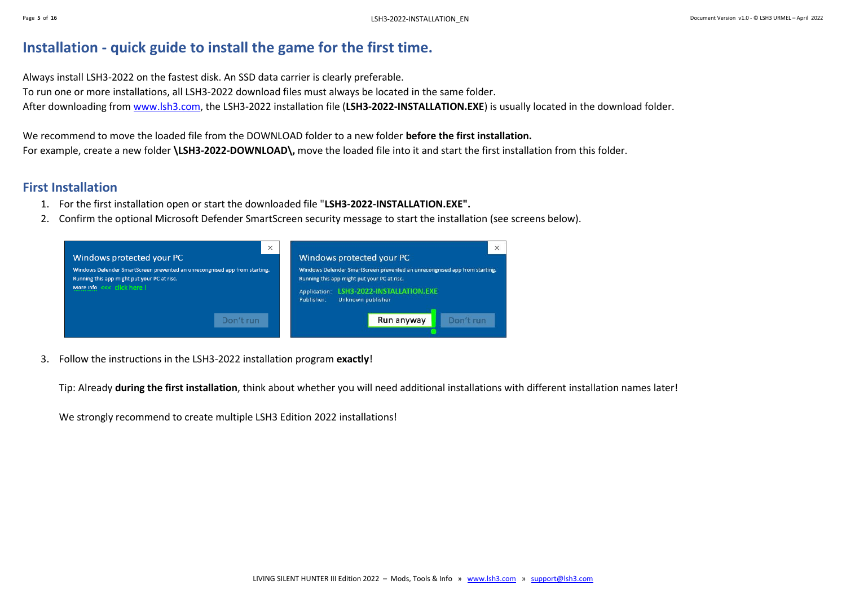## <span id="page-4-0"></span>**Installation - quick guide to install the game for the first time.**

Always install LSH3-2022 on the fastest disk. An SSD data carrier is clearly preferable. To run one or more installations, all LSH3-2022 download files must always be located in the same folder. After downloading fro[m www.lsh3.com,](file:///D:/Spiele/__LSH3-KnowHow/_Manuals-2020/www.lsh3.com) the LSH3-2022 installation file (**LSH3-2022-INSTALLATION.EXE**) is usually located in the download folder.

We recommend to move the loaded file from the DOWNLOAD folder to a new folder **before the first installation.** For example, create a new folder **\LSH3-2022-DOWNLOAD\,** move the loaded file into it and start the first installation from this folder.

### <span id="page-4-1"></span>**First Installation**

- 1. For the first installation open or start the downloaded file "**LSH3-2022-INSTALLATION.EXE".**
- 2. Confirm the optional Microsoft Defender SmartScreen security message to start the installation (see screens below).

| $\times$<br>Windows protected your PC<br>Windows Defender SmartScreen prevented an unrecongnised app from starting.<br>Running this app might put your PC at risc. | $\times$<br>Windows protected your PC<br>Windows Defender SmartScreen prevented an unrecongnised app from starting.<br>Running this app might put your PC at risc. |
|--------------------------------------------------------------------------------------------------------------------------------------------------------------------|--------------------------------------------------------------------------------------------------------------------------------------------------------------------|
| More info <<< click here !<br>Don't run                                                                                                                            | LSH3-2022-INSTALLATION.EXE<br>Application:<br>Unknown publisher<br>Publisher:                                                                                      |
|                                                                                                                                                                    | Run anyway<br>Don't run                                                                                                                                            |

3. Follow the instructions in the LSH3-2022 installation program **exactly**!

Tip: Already **during the first installation**, think about whether you will need additional installations with different installation names later!

We strongly recommend to create multiple LSH3 Edition 2022 installations!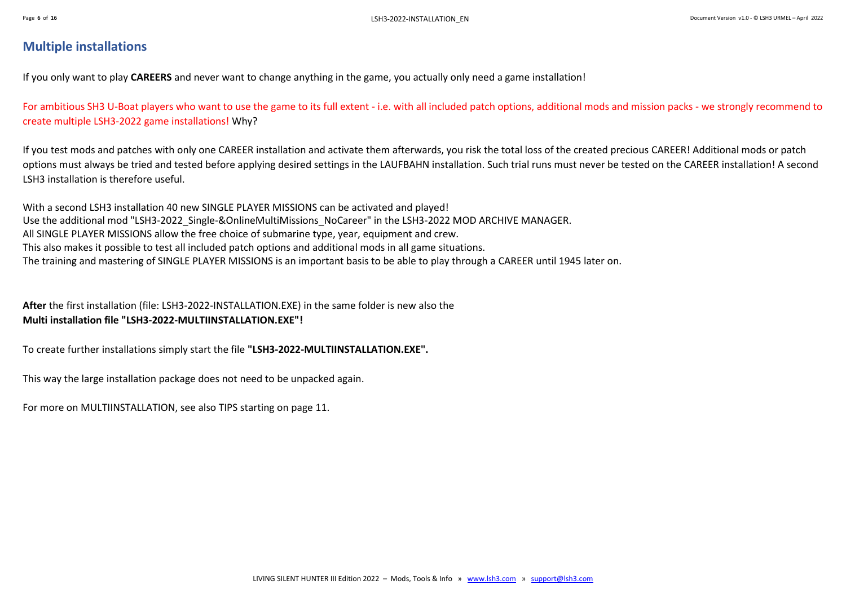## <span id="page-5-0"></span>**Multiple installations**

If you only want to play **CAREERS** and never want to change anything in the game, you actually only need a game installation!

For ambitious SH3 U-Boat players who want to use the game to its full extent - i.e. with all included patch options, additional mods and mission packs - we strongly recommend to create multiple LSH3-2022 game installations! Why?

If you test mods and patches with only one CAREER installation and activate them afterwards, you risk the total loss of the created precious CAREER! Additional mods or patch options must always be tried and tested before applying desired settings in the LAUFBAHN installation. Such trial runs must never be tested on the CAREER installation! A second LSH3 installation is therefore useful.

With a second LSH3 installation 40 new SINGLE PLAYER MISSIONS can be activated and played! Use the additional mod "LSH3-2022\_Single-&OnlineMultiMissions\_NoCareer" in the LSH3-2022 MOD ARCHIVE MANAGER. All SINGLE PLAYER MISSIONS allow the free choice of submarine type, year, equipment and crew. This also makes it possible to test all included patch options and additional mods in all game situations. The training and mastering of SINGLE PLAYER MISSIONS is an important basis to be able to play through a CAREER until 1945 later on.

**After** the first installation (file: LSH3-2022-INSTALLATION.EXE) in the same folder is new also the **Multi installation file "LSH3-2022-MULTIINSTALLATION.EXE"!**

To create further installations simply start the file **"LSH3-2022-MULTIINSTALLATION.EXE".**

This way the large installation package does not need to be unpacked again.

For more on MULTIINSTALLATION, see also TIPS starting on page 11.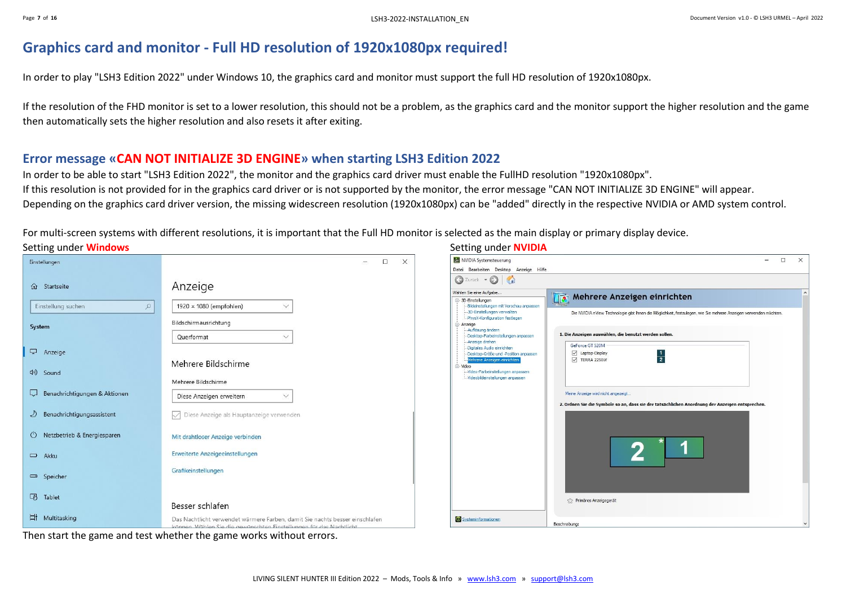## <span id="page-6-0"></span>**Graphics card and monitor - Full HD resolution of 1920x1080px required!**

In order to play "LSH3 Edition 2022" under Windows 10, the graphics card and monitor must support the full HD resolution of 1920x1080px.

If the resolution of the FHD monitor is set to a lower resolution, this should not be a problem, as the graphics card and the monitor support the higher resolution and the game then automatically sets the higher resolution and also resets it after exiting.

## <span id="page-6-1"></span>**Error message «CAN NOT INITIALIZE 3D ENGINE» when starting LSH3 Edition 2022**

In order to be able to start "LSH3 Edition 2022", the monitor and the graphics card driver must enable the FullHD resolution "1920x1080px". If this resolution is not provided for in the graphics card driver or is not supported by the monitor, the error message "CAN NOT INITIALIZE 3D ENGINE" will appear. Depending on the graphics card driver version, the missing widescreen resolution (1920x1080px) can be "added" directly in the respective NVIDIA or AMD system control.

For multi-screen systems with different resolutions, it is important that the Full HD monitor is selected as the main display or primary display device.

| $\Box$ $\times$<br>$-$                                                                                            |
|-------------------------------------------------------------------------------------------------------------------|
|                                                                                                                   |
|                                                                                                                   |
|                                                                                                                   |
|                                                                                                                   |
| Die NVIDIA nView Technologie gibt Ihnen die Möglichkeit, festzulegen, wie Sie mehrere Anzeigen verwenden möchten. |
|                                                                                                                   |
|                                                                                                                   |
|                                                                                                                   |
|                                                                                                                   |
|                                                                                                                   |
|                                                                                                                   |
|                                                                                                                   |
|                                                                                                                   |
| 2. Ordnen Sie die Symbole so an, dass sie der tatsächlichen Anordnung der Anzeigen entsprechen.                   |
|                                                                                                                   |
|                                                                                                                   |
|                                                                                                                   |
|                                                                                                                   |
|                                                                                                                   |
|                                                                                                                   |
|                                                                                                                   |
|                                                                                                                   |
|                                                                                                                   |
|                                                                                                                   |
|                                                                                                                   |

Then start the game and test whether the game works without errors.

#### Setting under **Windows** Setting under **NVIDIA**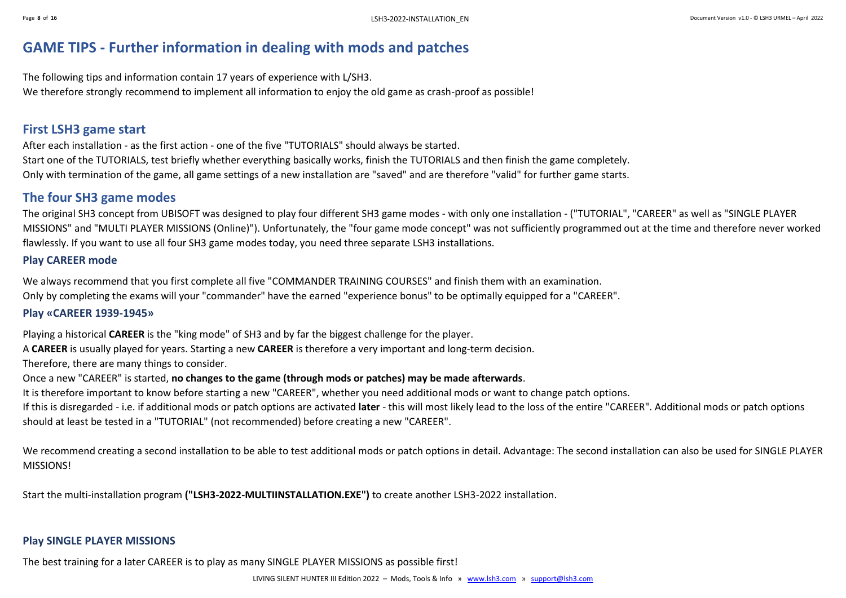## <span id="page-7-0"></span>**GAME TIPS - Further information in dealing with mods and patches**

The following tips and information contain 17 years of experience with L/SH3. We therefore strongly recommend to implement all information to enjoy the old game as crash-proof as possible!

### <span id="page-7-1"></span>**First LSH3 game start**

After each installation - as the first action - one of the five "TUTORIALS" should always be started. Start one of the TUTORIALS, test briefly whether everything basically works, finish the TUTORIALS and then finish the game completely. Only with termination of the game, all game settings of a new installation are "saved" and are therefore "valid" for further game starts.

### <span id="page-7-2"></span>**The four SH3 game modes**

The original SH3 concept from UBISOFT was designed to play four different SH3 game modes - with only one installation - ("TUTORIAL", "CAREER" as well as "SINGLE PLAYER MISSIONS" and "MULTI PLAYER MISSIONS (Online)"). Unfortunately, the "four game mode concept" was not sufficiently programmed out at the time and therefore never worked flawlessly. If you want to use all four SH3 game modes today, you need three separate LSH3 installations.

#### **Play CAREER mode**

We always recommend that you first complete all five "COMMANDER TRAINING COURSES" and finish them with an examination. Only by completing the exams will your "commander" have the earned "experience bonus" to be optimally equipped for a "CAREER".

#### **Play «CAREER 1939-1945»**

Playing a historical **CAREER** is the "king mode" of SH3 and by far the biggest challenge for the player.

A **CAREER** is usually played for years. Starting a new **CAREER** is therefore a very important and long-term decision.

Therefore, there are many things to consider.

Once a new "CAREER" is started, **no changes to the game (through mods or patches) may be made afterwards**.

It is therefore important to know before starting a new "CAREER", whether you need additional mods or want to change patch options.

If this is disregarded - i.e. if additional mods or patch options are activated **later** - this will most likely lead to the loss of the entire "CAREER". Additional mods or patch options should at least be tested in a "TUTORIAL" (not recommended) before creating a new "CAREER".

We recommend creating a second installation to be able to test additional mods or patch options in detail. Advantage: The second installation can also be used for SINGLE PLAYER MISSIONS!

Start the multi-installation program **("LSH3-2022-MULTIINSTALLATION.EXE")** to create another LSH3-2022 installation.

#### **Play SINGLE PLAYER MISSIONS**

The best training for a later CAREER is to play as many SINGLE PLAYER MISSIONS as possible first!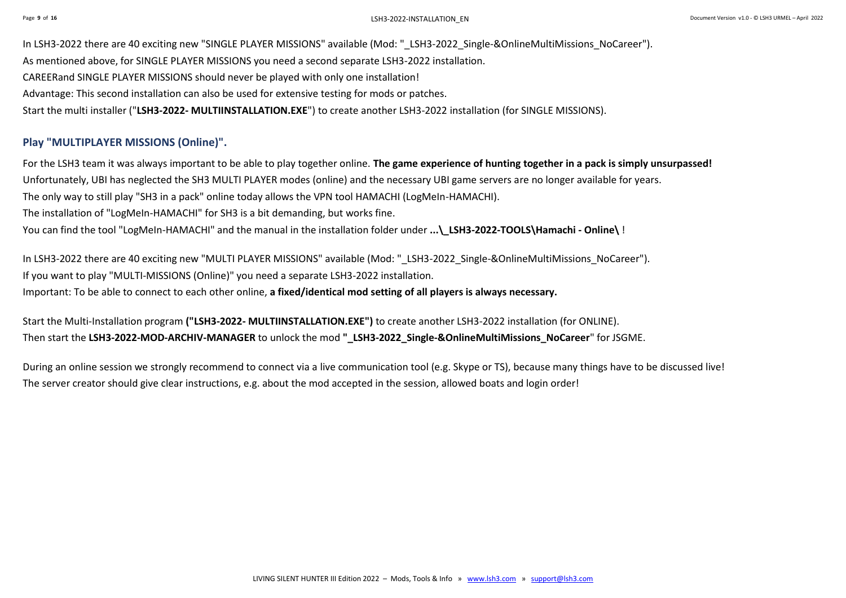In LSH3-2022 there are 40 exciting new "SINGLE PLAYER MISSIONS" available (Mod: "\_LSH3-2022\_Single-&OnlineMultiMissions\_NoCareer"). As mentioned above, for SINGLE PLAYER MISSIONS you need a second separate LSH3-2022 installation. CAREERand SINGLE PLAYER MISSIONS should never be played with only one installation! Advantage: This second installation can also be used for extensive testing for mods or patches. Start the multi installer ("**LSH3-2022- MULTIINSTALLATION.EXE**") to create another LSH3-2022 installation (for SINGLE MISSIONS).

#### **Play "MULTIPLAYER MISSIONS (Online)".**

For the LSH3 team it was always important to be able to play together online. **The game experience of hunting together in a pack is simply unsurpassed!** Unfortunately, UBI has neglected the SH3 MULTI PLAYER modes (online) and the necessary UBI game servers are no longer available for years. The only way to still play "SH3 in a pack" online today allows the VPN tool HAMACHI (LogMeIn-HAMACHI). The installation of "LogMeIn-HAMACHI" for SH3 is a bit demanding, but works fine. You can find the tool "LogMeIn-HAMACHI" and the manual in the installation folder under **...\\_LSH3-2022-TOOLS\Hamachi - Online\** !

In LSH3-2022 there are 40 exciting new "MULTI PLAYER MISSIONS" available (Mod: "\_LSH3-2022\_Single-&OnlineMultiMissions\_NoCareer"). If you want to play "MULTI-MISSIONS (Online)" you need a separate LSH3-2022 installation. Important: To be able to connect to each other online, **a fixed/identical mod setting of all players is always necessary.**

Start the Multi-Installation program **("LSH3-2022- MULTIINSTALLATION.EXE")** to create another LSH3-2022 installation (for ONLINE). Then start the LSH3-2022-MOD-ARCHIV-MANAGER to unlock the mod " LSH3-2022 Single-&OnlineMultiMissions NoCareer" for JSGME.

During an online session we strongly recommend to connect via a live communication tool (e.g. Skype or TS), because many things have to be discussed live! The server creator should give clear instructions, e.g. about the mod accepted in the session, allowed boats and login order!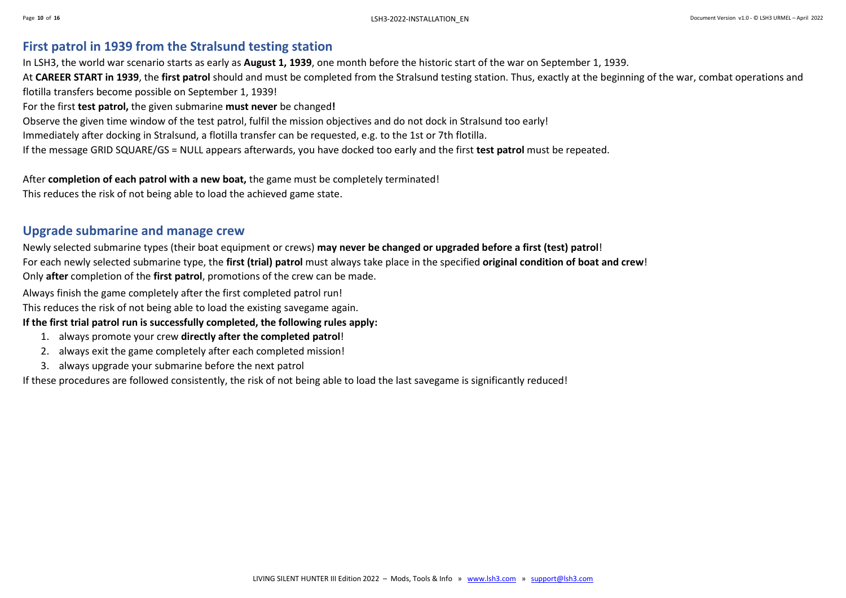## <span id="page-9-0"></span>**First patrol in 1939 from the Stralsund testing station**

In LSH3, the world war scenario starts as early as **August 1, 1939**, one month before the historic start of the war on September 1, 1939.

At **CAREER START in 1939**, the **first patrol** should and must be completed from the Stralsund testing station. Thus, exactly at the beginning of the war, combat operations and flotilla transfers become possible on September 1, 1939!

For the first **test patrol,** the given submarine **must never** be changed**!**

Observe the given time window of the test patrol, fulfil the mission objectives and do not dock in Stralsund too early!

Immediately after docking in Stralsund, a flotilla transfer can be requested, e.g. to the 1st or 7th flotilla.

If the message GRID SQUARE/GS = NULL appears afterwards, you have docked too early and the first **test patrol** must be repeated.

After **completion of each patrol with a new boat,** the game must be completely terminated!

This reduces the risk of not being able to load the achieved game state.

### <span id="page-9-1"></span>**Upgrade submarine and manage crew**

Newly selected submarine types (their boat equipment or crews) **may never be changed or upgraded before a first (test) patrol**!

For each newly selected submarine type, the **first (trial) patrol** must always take place in the specified **original condition of boat and crew**!

Only **after** completion of the **first patrol**, promotions of the crew can be made.

Always finish the game completely after the first completed patrol run!

This reduces the risk of not being able to load the existing savegame again.

#### **If the first trial patrol run is successfully completed, the following rules apply:**

- 1. always promote your crew **directly after the completed patrol**!
- 2. always exit the game completely after each completed mission!
- 3. always upgrade your submarine before the next patrol

If these procedures are followed consistently, the risk of not being able to load the last savegame is significantly reduced!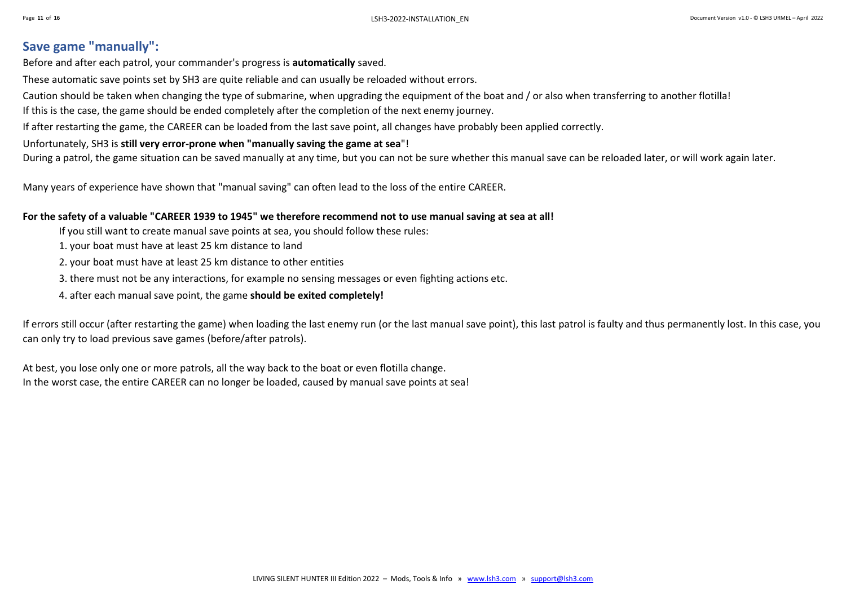## <span id="page-10-0"></span>**Save game "manually":**

Before and after each patrol, your commander's progress is **automatically** saved.

These automatic save points set by SH3 are quite reliable and can usually be reloaded without errors.

Caution should be taken when changing the type of submarine, when upgrading the equipment of the boat and / or also when transferring to another flotilla!

If this is the case, the game should be ended completely after the completion of the next enemy journey.

If after restarting the game, the CAREER can be loaded from the last save point, all changes have probably been applied correctly.

#### Unfortunately, SH3 is **still very error-prone when "manually saving the game at sea**"!

During a patrol, the game situation can be saved manually at any time, but you can not be sure whether this manual save can be reloaded later, or will work again later.

Many years of experience have shown that "manual saving" can often lead to the loss of the entire CAREER.

#### **For the safety of a valuable "CAREER 1939 to 1945" we therefore recommend not to use manual saving at sea at all!**

- If you still want to create manual save points at sea, you should follow these rules:
- 1. your boat must have at least 25 km distance to land
- 2. your boat must have at least 25 km distance to other entities
- 3. there must not be any interactions, for example no sensing messages or even fighting actions etc.
- 4. after each manual save point, the game **should be exited completely!**

If errors still occur (after restarting the game) when loading the last enemy run (or the last manual save point), this last patrol is faulty and thus permanently lost. In this case, you can only try to load previous save games (before/after patrols).

At best, you lose only one or more patrols, all the way back to the boat or even flotilla change. In the worst case, the entire CAREER can no longer be loaded, caused by manual save points at sea!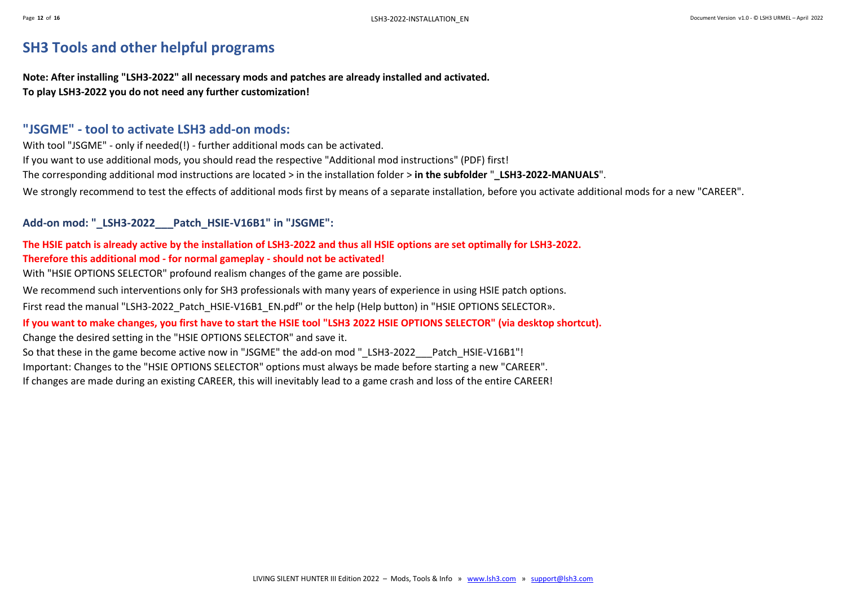## <span id="page-11-0"></span>**SH3 Tools and other helpful programs**

**Note: After installing "LSH3-2022" all necessary mods and patches are already installed and activated. To play LSH3-2022 you do not need any further customization!**

### <span id="page-11-1"></span>**"JSGME" - tool to activate LSH3 add-on mods:**

With tool "JSGME" - only if needed(!) - further additional mods can be activated. If you want to use additional mods, you should read the respective "Additional mod instructions" (PDF) first! The corresponding additional mod instructions are located > in the installation folder > **in the subfolder** "**\_LSH3-2022-MANUALS**". We strongly recommend to test the effects of additional mods first by means of a separate installation, before you activate additional mods for a new "CAREER".

#### **Add-on mod: "\_LSH3-2022\_\_\_Patch\_HSIE-V16B1" in "JSGME":**

### **The HSIE patch is already active by the installation of LSH3-2022 and thus all HSIE options are set optimally for LSH3-2022. Therefore this additional mod - for normal gameplay - should not be activated!**

With "HSIE OPTIONS SELECTOR" profound realism changes of the game are possible.

We recommend such interventions only for SH3 professionals with many years of experience in using HSIE patch options.

First read the manual "LSH3-2022\_Patch\_HSIE-V16B1\_EN.pdf" or the help (Help button) in "HSIE OPTIONS SELECTOR».

#### **If you want to make changes, you first have to start the HSIE tool "LSH3 2022 HSIE OPTIONS SELECTOR" (via desktop shortcut).**

Change the desired setting in the "HSIE OPTIONS SELECTOR" and save it.

So that these in the game become active now in "JSGME" the add-on mod " LSH3-2022 Patch HSIE-V16B1"!

Important: Changes to the "HSIE OPTIONS SELECTOR" options must always be made before starting a new "CAREER".

If changes are made during an existing CAREER, this will inevitably lead to a game crash and loss of the entire CAREER!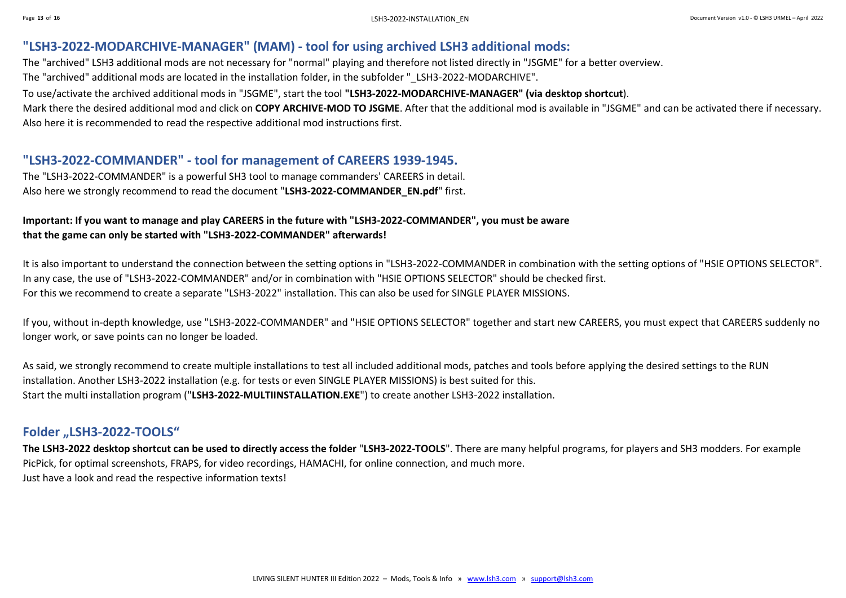### <span id="page-12-0"></span>**"LSH3-2022-MODARCHIVE-MANAGER" (MAM) - tool for using archived LSH3 additional mods:**

The "archived" LSH3 additional mods are not necessary for "normal" playing and therefore not listed directly in "JSGME" for a better overview.

The "archived" additional mods are located in the installation folder, in the subfolder "\_LSH3-2022-MODARCHIVE".

To use/activate the archived additional mods in "JSGME", start the tool **"LSH3-2022-MODARCHIVE-MANAGER" (via desktop shortcut**).

Mark there the desired additional mod and click on **COPY ARCHIVE-MOD TO JSGME**. After that the additional mod is available in "JSGME" and can be activated there if necessary. Also here it is recommended to read the respective additional mod instructions first.

### <span id="page-12-1"></span>**"LSH3-2022-COMMANDER" - tool for management of CAREERS 1939-1945.**

The "LSH3-2022-COMMANDER" is a powerful SH3 tool to manage commanders' CAREERS in detail. Also here we strongly recommend to read the document "**LSH3-2022-COMMANDER\_EN.pdf**" first.

### **Important: If you want to manage and play CAREERS in the future with "LSH3-2022-COMMANDER", you must be aware that the game can only be started with "LSH3-2022-COMMANDER" afterwards!**

It is also important to understand the connection between the setting options in "LSH3-2022-COMMANDER in combination with the setting options of "HSIE OPTIONS SELECTOR". In any case, the use of "LSH3-2022-COMMANDER" and/or in combination with "HSIE OPTIONS SELECTOR" should be checked first. For this we recommend to create a separate "LSH3-2022" installation. This can also be used for SINGLE PLAYER MISSIONS.

If you, without in-depth knowledge, use "LSH3-2022-COMMANDER" and "HSIE OPTIONS SELECTOR" together and start new CAREERS, you must expect that CAREERS suddenly no longer work, or save points can no longer be loaded.

As said, we strongly recommend to create multiple installations to test all included additional mods, patches and tools before applying the desired settings to the RUN installation. Another LSH3-2022 installation (e.g. for tests or even SINGLE PLAYER MISSIONS) is best suited for this. Start the multi installation program ("**LSH3-2022-MULTIINSTALLATION.EXE**") to create another LSH3-2022 installation.

#### <span id="page-12-2"></span>**Folder "LSH3-2022-TOOLS"**

**The LSH3-2022 desktop shortcut can be used to directly access the folder** "**LSH3-2022-TOOLS**". There are many helpful programs, for players and SH3 modders. For example PicPick, for optimal screenshots, FRAPS, for video recordings, HAMACHI, for online connection, and much more. Just have a look and read the respective information texts!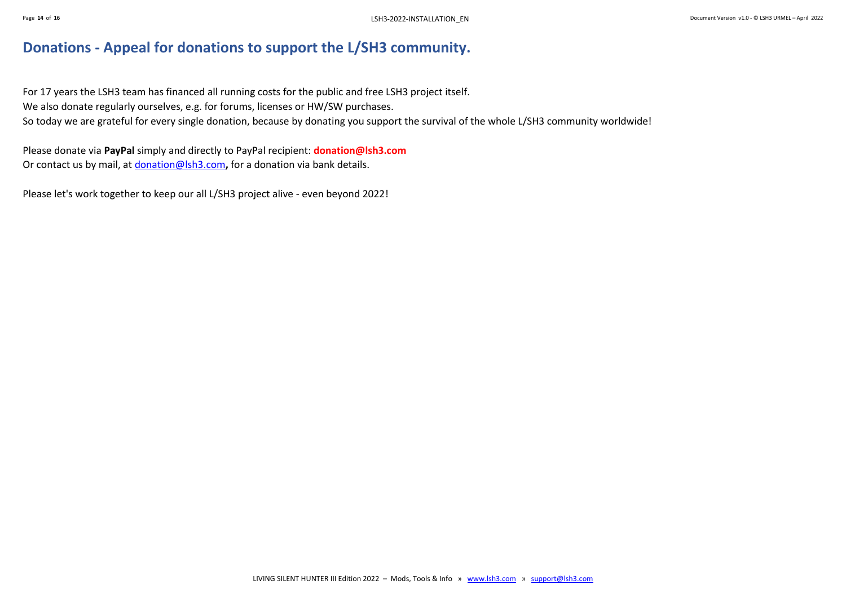## <span id="page-13-0"></span>**Donations - Appeal for donations to support the L/SH3 community.**

For 17 years the LSH3 team has financed all running costs for the public and free LSH3 project itself. We also donate regularly ourselves, e.g. for forums, licenses or HW/SW purchases. So today we are grateful for every single donation, because by donating you support the survival of the whole L/SH3 community worldwide!

Please donate via **PayPal** simply and directly to PayPal recipient: **donation@lsh3.com** Or contact us by mail, at [donation@lsh3.com](mailto:donation@lsh3.com)**,** for a donation via bank details.

Please let's work together to keep our all L/SH3 project alive - even beyond 2022!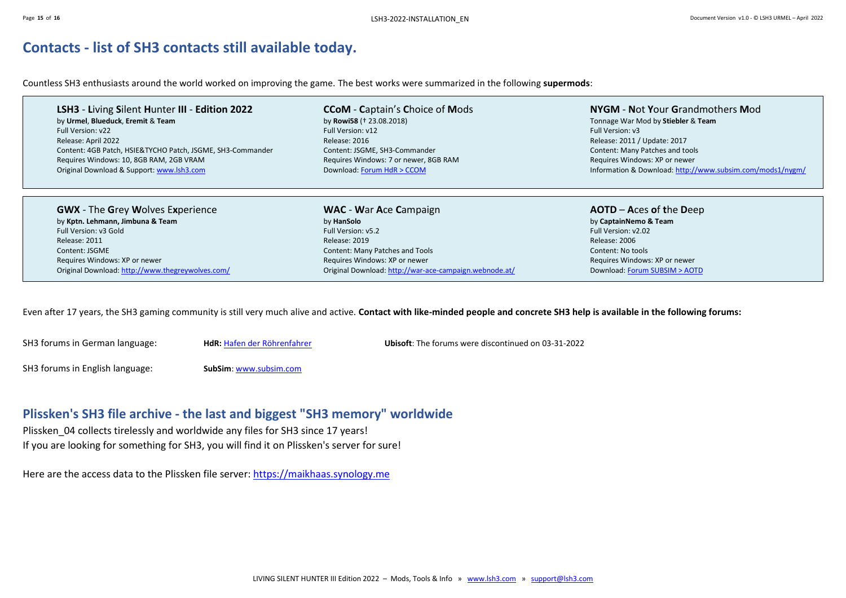## <span id="page-14-0"></span>**Contacts - list of SH3 contacts still available today.**

Countless SH3 enthusiasts around the world worked on improving the game. The best works were summarized in the following **supermods**:

**LSH3** - **L**iving **S**ilent **H**unter **III** - **Edition 2022** by **Urmel**, **Blueduck**, **Eremit** & **Team** Full Version: v22 Release: April 2022 Content: 4GB Patch, HSIE&TYCHO Patch, JSGME, SH3-Commander Requires Windows: 10, 8GB RAM, 2GB VRAM Original Download & Support[: www.lsh3.com](http://www.lsh3.com/)

**CCoM** - **C**aptain's **C**hoice of **M**ods by **Rowi58** († 23.08.2018) Full Version: v12 Release: 2016 Content: JSGME, SH3-Commander Requires Windows: 7 or newer, 8GB RAM Download[: Forum HdR > CCOM](https://www.roehrenfahrer.de/forum/viewforum.php?f=49)

**NYGM** - **N**ot **Y**our **G**randmothers **M**od Tonnage War Mod by **Stiebler** & **Team** Full Version: v3 Release: 2011 / Update: 2017 Content: Many Patches and tools Requires Windows: XP or newer Information & Download[: http://www.subsim.com/mods1/nygm/](http://www.subsim.com/mods1/nygm/)

**GWX** - The **G**rey **W**olves E**x**perience by **Kptn. Lehmann, Jimbuna & Team** Full Version: v3 Gold Release: 2011 Content: JSGME Requires Windows: XP or newer Original Download[: http://www.thegreywolves.com/](http://www.thegreywolves.com/)

**WAC** - **W**ar **A**ce **C**ampaign by **HanSolo** Full Version: v5.2 Release: 2019 Content: Many Patches and Tools Requires Windows: XP or newer Original Download[: http://war-ace-campaign.webnode.at/](http://war-ace-campaign.webnode.at/) **AOTD** – **A**ces **o**f **t**he **D**eep by **CaptainNemo & Team** Full Version: v2.02 Release: 2006 Content: No tools Requires Windows: XP or newer Download[: Forum SUBSIM > AOTD](https://www.subsim.com/radioroom/showthread.php?t=88518)

Even after 17 years, the SH3 gaming community is still very much alive and active. **Contact with like-minded people and concrete SH3 help is available in the following forums:**

SH3 forums in German language: **HdR:** [Hafen der Röhrenfahrer](https://roehrenfahrer.iphpbb3.com/forum/index.php?nxu=22161106nx65653) **Ubisoft**: The forums were discontinued on 03-31-2022

SH3 forums in English language: **SubSim**: [www.subsim.com](http://www.subsim.com/)

## <span id="page-14-1"></span>**Plissken's SH3 file archive - the last and biggest "SH3 memory" worldwide**

Plissken 04 collects tirelessly and worldwide any files for SH3 since 17 years! If you are looking for something for SH3, you will find it on Plissken's server for sure!

Here are the access data to the Plissken file server: [https://maikhaas.synology.me](https://maikhaas.synology.me/joomla/index.php?option=com_content&view=category&layout=blog&id=20&Itemid=331&lang=de)